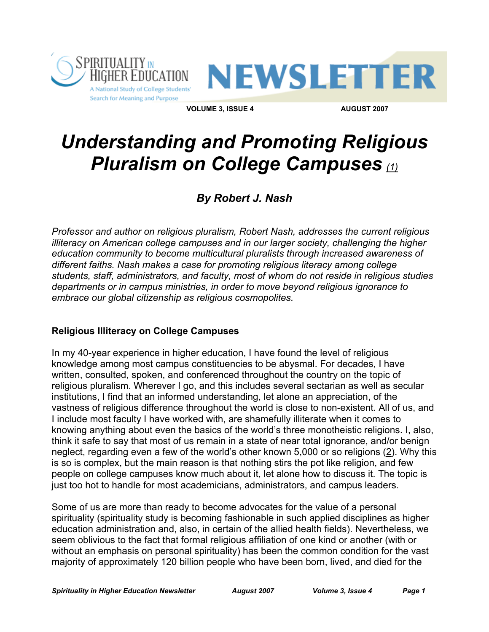



**VOLUME 3, ISSUE 4 AUGUST 2007** 

# *Understanding and Promoting Religious Pluralism on College Campuses (1)*

*By Robert J. Nash*

*Professor and author on religious pluralism, Robert Nash, addresses the current religious illiteracy on American college campuses and in our larger society, challenging the higher education community to become multicultural pluralists through increased awareness of different faiths. Nash makes a case for promoting religious literacy among college students, staff, administrators, and faculty, most of whom do not reside in religious studies departments or in campus ministries, in order to move beyond religious ignorance to embrace our global citizenship as religious cosmopolites.*

# **Religious Illiteracy on College Campuses**

In my 40-year experience in higher education, I have found the level of religious knowledge among most campus constituencies to be abysmal. For decades, I have written, consulted, spoken, and conferenced throughout the country on the topic of religious pluralism. Wherever I go, and this includes several sectarian as well as secular institutions, I find that an informed understanding, let alone an appreciation, of the vastness of religious difference throughout the world is close to non-existent. All of us, and I include most faculty I have worked with, are shamefully illiterate when it comes to knowing anything about even the basics of the world's three monotheistic religions. I, also, think it safe to say that most of us remain in a state of near total ignorance, and/or benign neglect, regarding even a few of the world's other known 5,000 or so religions (2). Why this is so is complex, but the main reason is that nothing stirs the pot like religion, and few people on college campuses know much about it, let alone how to discuss it. The topic is just too hot to handle for most academicians, administrators, and campus leaders.

Some of us are more than ready to become advocates for the value of a personal spirituality (spirituality study is becoming fashionable in such applied disciplines as higher education administration and, also, in certain of the allied health fields). Nevertheless, we seem oblivious to the fact that formal religious affiliation of one kind or another (with or without an emphasis on personal spirituality) has been the common condition for the vast majority of approximately 120 billion people who have been born, lived, and died for the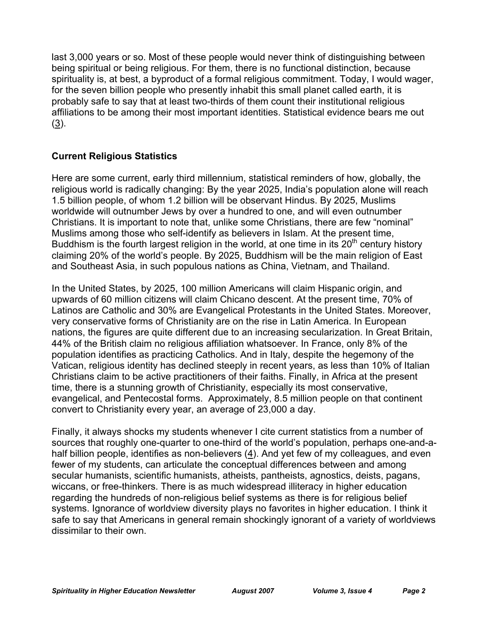last 3,000 years or so. Most of these people would never think of distinguishing between being spiritual or being religious. For them, there is no functional distinction, because spirituality is, at best, a byproduct of a formal religious commitment. Today, I would wager, for the seven billion people who presently inhabit this small planet called earth, it is probably safe to say that at least two-thirds of them count their institutional religious affiliations to be among their most important identities. Statistical evidence bears me out (3).

# **Current Religious Statistics**

Here are some current, early third millennium, statistical reminders of how, globally, the religious world is radically changing: By the year 2025, India's population alone will reach 1.5 billion people, of whom 1.2 billion will be observant Hindus. By 2025, Muslims worldwide will outnumber Jews by over a hundred to one, and will even outnumber Christians. It is important to note that, unlike some Christians, there are few "nominal" Muslims among those who self-identify as believers in Islam. At the present time, Buddhism is the fourth largest religion in the world, at one time in its  $20<sup>th</sup>$  century history claiming 20% of the world's people. By 2025, Buddhism will be the main religion of East and Southeast Asia, in such populous nations as China, Vietnam, and Thailand.

In the United States, by 2025, 100 million Americans will claim Hispanic origin, and upwards of 60 million citizens will claim Chicano descent. At the present time, 70% of Latinos are Catholic and 30% are Evangelical Protestants in the United States. Moreover, very conservative forms of Christianity are on the rise in Latin America. In European nations, the figures are quite different due to an increasing secularization. In Great Britain, 44% of the British claim no religious affiliation whatsoever. In France, only 8% of the population identifies as practicing Catholics. And in Italy, despite the hegemony of the Vatican, religious identity has declined steeply in recent years, as less than 10% of Italian Christians claim to be active practitioners of their faiths. Finally, in Africa at the present time, there is a stunning growth of Christianity, especially its most conservative, evangelical, and Pentecostal forms. Approximately, 8.5 million people on that continent convert to Christianity every year, an average of 23,000 a day.

Finally, it always shocks my students whenever I cite current statistics from a number of sources that roughly one-quarter to one-third of the world's population, perhaps one-and-ahalf billion people, identifies as non-believers (4). And yet few of my colleagues, and even fewer of my students, can articulate the conceptual differences between and among secular humanists, scientific humanists, atheists, pantheists, agnostics, deists, pagans, wiccans, or free-thinkers. There is as much widespread illiteracy in higher education regarding the hundreds of non-religious belief systems as there is for religious belief systems. Ignorance of worldview diversity plays no favorites in higher education. I think it safe to say that Americans in general remain shockingly ignorant of a variety of worldviews dissimilar to their own.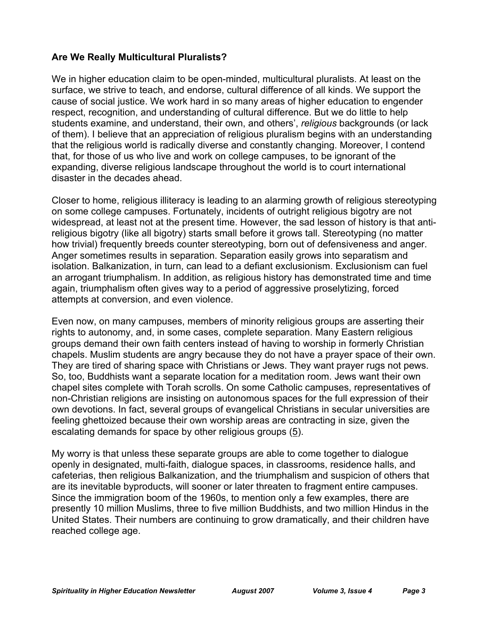#### **Are We Really Multicultural Pluralists?**

We in higher education claim to be open-minded, multicultural pluralists. At least on the surface, we strive to teach, and endorse, cultural difference of all kinds. We support the cause of social justice. We work hard in so many areas of higher education to engender respect, recognition, and understanding of cultural difference. But we do little to help students examine, and understand, their own, and others', *religious* backgrounds (or lack of them). I believe that an appreciation of religious pluralism begins with an understanding that the religious world is radically diverse and constantly changing. Moreover, I contend that, for those of us who live and work on college campuses, to be ignorant of the expanding, diverse religious landscape throughout the world is to court international disaster in the decades ahead.

Closer to home, religious illiteracy is leading to an alarming growth of religious stereotyping on some college campuses. Fortunately, incidents of outright religious bigotry are not widespread, at least not at the present time. However, the sad lesson of history is that antireligious bigotry (like all bigotry) starts small before it grows tall. Stereotyping (no matter how trivial) frequently breeds counter stereotyping, born out of defensiveness and anger. Anger sometimes results in separation. Separation easily grows into separatism and isolation. Balkanization, in turn, can lead to a defiant exclusionism. Exclusionism can fuel an arrogant triumphalism. In addition, as religious history has demonstrated time and time again, triumphalism often gives way to a period of aggressive proselytizing, forced attempts at conversion, and even violence.

Even now, on many campuses, members of minority religious groups are asserting their rights to autonomy, and, in some cases, complete separation. Many Eastern religious groups demand their own faith centers instead of having to worship in formerly Christian chapels. Muslim students are angry because they do not have a prayer space of their own. They are tired of sharing space with Christians or Jews. They want prayer rugs not pews. So, too, Buddhists want a separate location for a meditation room. Jews want their own chapel sites complete with Torah scrolls. On some Catholic campuses, representatives of non-Christian religions are insisting on autonomous spaces for the full expression of their own devotions. In fact, several groups of evangelical Christians in secular universities are feeling ghettoized because their own worship areas are contracting in size, given the escalating demands for space by other religious groups (5).

My worry is that unless these separate groups are able to come together to dialogue openly in designated, multi-faith, dialogue spaces, in classrooms, residence halls, and cafeterias, then religious Balkanization, and the triumphalism and suspicion of others that are its inevitable byproducts, will sooner or later threaten to fragment entire campuses. Since the immigration boom of the 1960s, to mention only a few examples, there are presently 10 million Muslims, three to five million Buddhists, and two million Hindus in the United States. Their numbers are continuing to grow dramatically, and their children have reached college age.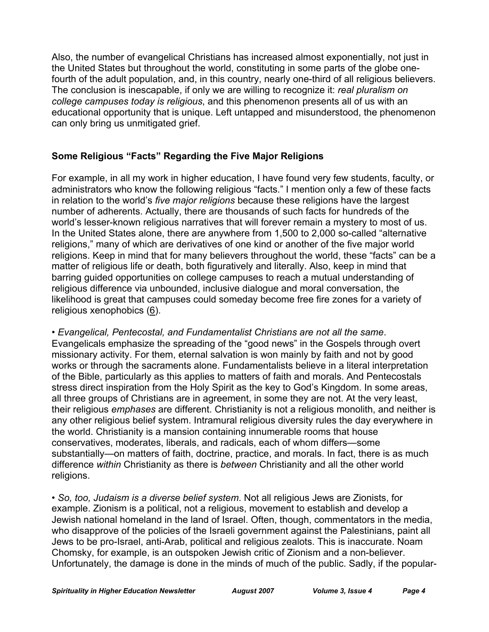Also, the number of evangelical Christians has increased almost exponentially, not just in the United States but throughout the world, constituting in some parts of the globe onefourth of the adult population, and, in this country, nearly one-third of all religious believers. The conclusion is inescapable, if only we are willing to recognize it: *real pluralism on college campuses today is religious*, and this phenomenon presents all of us with an educational opportunity that is unique. Left untapped and misunderstood, the phenomenon can only bring us unmitigated grief.

# **Some Religious "Facts" Regarding the Five Major Religions**

For example, in all my work in higher education, I have found very few students, faculty, or administrators who know the following religious "facts." I mention only a few of these facts in relation to the world's *five major religions* because these religions have the largest number of adherents. Actually, there are thousands of such facts for hundreds of the world's lesser-known religious narratives that will forever remain a mystery to most of us. In the United States alone, there are anywhere from 1,500 to 2,000 so-called "alternative religions," many of which are derivatives of one kind or another of the five major world religions. Keep in mind that for many believers throughout the world, these "facts" can be a matter of religious life or death, both figuratively and literally. Also, keep in mind that barring guided opportunities on college campuses to reach a mutual understanding of religious difference via unbounded, inclusive dialogue and moral conversation, the likelihood is great that campuses could someday become free fire zones for a variety of religious xenophobics  $(6)$ .

• *Evangelical, Pentecostal, and Fundamentalist Christians are not all the same*. Evangelicals emphasize the spreading of the "good news" in the Gospels through overt missionary activity. For them, eternal salvation is won mainly by faith and not by good works or through the sacraments alone. Fundamentalists believe in a literal interpretation of the Bible, particularly as this applies to matters of faith and morals. And Pentecostals stress direct inspiration from the Holy Spirit as the key to God's Kingdom. In some areas, all three groups of Christians are in agreement, in some they are not. At the very least, their religious *emphases* are different. Christianity is not a religious monolith, and neither is any other religious belief system. Intramural religious diversity rules the day everywhere in the world. Christianity is a mansion containing innumerable rooms that house conservatives, moderates, liberals, and radicals, each of whom differs—some substantially—on matters of faith, doctrine, practice, and morals. In fact, there is as much difference *within* Christianity as there is *between* Christianity and all the other world religions.

• *So, too, Judaism is a diverse belief system*. Not all religious Jews are Zionists, for example. Zionism is a political, not a religious, movement to establish and develop a Jewish national homeland in the land of Israel. Often, though, commentators in the media, who disapprove of the policies of the Israeli government against the Palestinians, paint all Jews to be pro-Israel, anti-Arab, political and religious zealots. This is inaccurate. Noam Chomsky, for example, is an outspoken Jewish critic of Zionism and a non-believer. Unfortunately, the damage is done in the minds of much of the public. Sadly, if the popular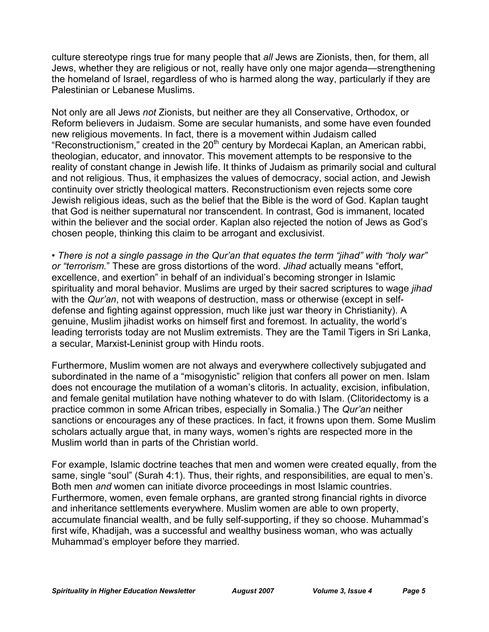culture stereotype rings true for many people that *all* Jews are Zionists, then, for them, all Jews, whether they are religious or not, really have only one major agenda—strengthening the homeland of Israel, regardless of who is harmed along the way, particularly if they are Palestinian or Lebanese Muslims.

Not only are all Jews *not* Zionists, but neither are they all Conservative, Orthodox, or Reform believers in Judaism. Some are secular humanists, and some have even founded new religious movements. In fact, there is a movement within Judaism called "Reconstructionism," created in the 20<sup>th</sup> century by Mordecai Kaplan, an American rabbi, theologian, educator, and innovator. This movement attempts to be responsive to the reality of constant change in Jewish life. It thinks of Judaism as primarily social and cultural and not religious. Thus, it emphasizes the values of democracy, social action, and Jewish continuity over strictly theological matters. Reconstructionism even rejects some core Jewish religious ideas, such as the belief that the Bible is the word of God. Kaplan taught that God is neither supernatural nor transcendent. In contrast, God is immanent, located within the believer and the social order. Kaplan also rejected the notion of Jews as God's chosen people, thinking this claim to be arrogant and exclusivist.

• *There is not a single passage in the Qur'an that equates the term "jihad" with "holy war" or "terrorism.*" These are gross distortions of the word. *Jihad* actually means "effort, excellence, and exertion" in behalf of an individual's becoming stronger in Islamic spirituality and moral behavior. Muslims are urged by their sacred scriptures to wage *jihad* with the *Qur'an*, not with weapons of destruction, mass or otherwise (except in selfdefense and fighting against oppression, much like just war theory in Christianity). A genuine, Muslim jihadist works on himself first and foremost. In actuality, the world's leading terrorists today are not Muslim extremists. They are the Tamil Tigers in Sri Lanka, a secular, Marxist-Leninist group with Hindu roots.

Furthermore, Muslim women are not always and everywhere collectively subjugated and subordinated in the name of a "misogynistic" religion that confers all power on men. Islam does not encourage the mutilation of a woman's clitoris. In actuality, excision, infibulation, and female genital mutilation have nothing whatever to do with Islam. (Clitoridectomy is a practice common in some African tribes, especially in Somalia.) The *Qur'an* neither sanctions or encourages any of these practices. In fact, it frowns upon them. Some Muslim scholars actually argue that, in many ways, women's rights are respected more in the Muslim world than in parts of the Christian world.

For example, Islamic doctrine teaches that men and women were created equally, from the same, single "soul" (Surah 4:1). Thus, their rights, and responsibilities, are equal to men's. Both men *and* women can initiate divorce proceedings in most Islamic countries. Furthermore, women, even female orphans, are granted strong financial rights in divorce and inheritance settlements everywhere. Muslim women are able to own property, accumulate financial wealth, and be fully self-supporting, if they so choose. Muhammad's first wife, Khadijah, was a successful and wealthy business woman, who was actually Muhammad's employer before they married.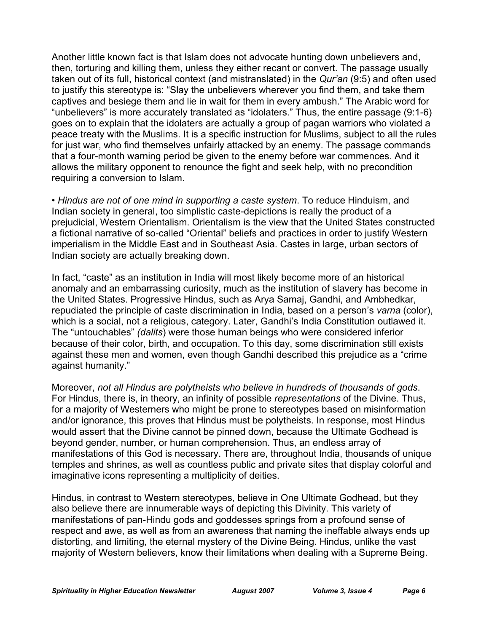Another little known fact is that Islam does not advocate hunting down unbelievers and, then, torturing and killing them, unless they either recant or convert. The passage usually taken out of its full, historical context (and mistranslated) in the *Qur'an* (9:5) and often used to justify this stereotype is: "Slay the unbelievers wherever you find them, and take them captives and besiege them and lie in wait for them in every ambush." The Arabic word for "unbelievers" is more accurately translated as "idolaters." Thus, the entire passage (9:1-6) goes on to explain that the idolaters are actually a group of pagan warriors who violated a peace treaty with the Muslims. It is a specific instruction for Muslims, subject to all the rules for just war, who find themselves unfairly attacked by an enemy. The passage commands that a four-month warning period be given to the enemy before war commences. And it allows the military opponent to renounce the fight and seek help, with no precondition requiring a conversion to Islam.

• *Hindus are not of one mind in supporting a caste system*. To reduce Hinduism, and Indian society in general, too simplistic caste-depictions is really the product of a prejudicial, Western Orientalism. Orientalism is the view that the United States constructed a fictional narrative of so-called "Oriental" beliefs and practices in order to justify Western imperialism in the Middle East and in Southeast Asia. Castes in large, urban sectors of Indian society are actually breaking down.

In fact, "caste" as an institution in India will most likely become more of an historical anomaly and an embarrassing curiosity, much as the institution of slavery has become in the United States. Progressive Hindus, such as Arya Samaj, Gandhi, and Ambhedkar, repudiated the principle of caste discrimination in India, based on a person's *varna* (color), which is a social, not a religious, category. Later, Gandhi's India Constitution outlawed it. The "untouchables" *(dalits*) were those human beings who were considered inferior because of their color, birth, and occupation. To this day, some discrimination still exists against these men and women, even though Gandhi described this prejudice as a "crime against humanity."

Moreover, *not all Hindus are polytheists who believe in hundreds of thousands of gods*. For Hindus, there is, in theory, an infinity of possible *representations* of the Divine. Thus, for a majority of Westerners who might be prone to stereotypes based on misinformation and/or ignorance, this proves that Hindus must be polytheists. In response, most Hindus would assert that the Divine cannot be pinned down, because the Ultimate Godhead is beyond gender, number, or human comprehension. Thus, an endless array of manifestations of this God is necessary. There are, throughout India, thousands of unique temples and shrines, as well as countless public and private sites that display colorful and imaginative icons representing a multiplicity of deities.

Hindus, in contrast to Western stereotypes, believe in One Ultimate Godhead, but they also believe there are innumerable ways of depicting this Divinity. This variety of manifestations of pan-Hindu gods and goddesses springs from a profound sense of respect and awe, as well as from an awareness that naming the ineffable always ends up distorting, and limiting, the eternal mystery of the Divine Being. Hindus, unlike the vast majority of Western believers, know their limitations when dealing with a Supreme Being.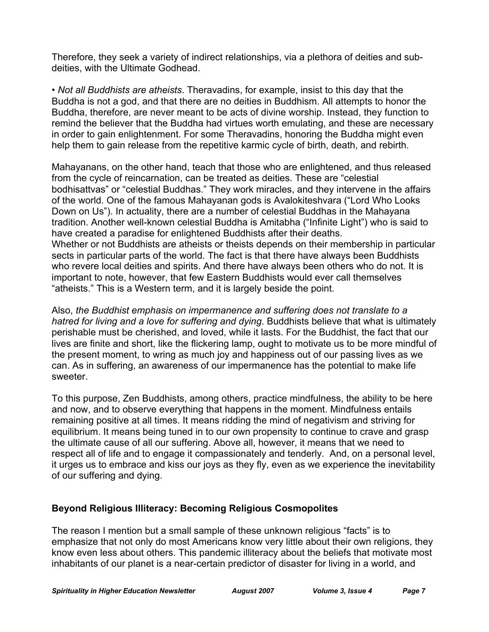Therefore, they seek a variety of indirect relationships, via a plethora of deities and subdeities, with the Ultimate Godhead.

• *Not all Buddhists are atheists*. Theravadins, for example, insist to this day that the Buddha is not a god, and that there are no deities in Buddhism. All attempts to honor the Buddha, therefore, are never meant to be acts of divine worship. Instead, they function to remind the believer that the Buddha had virtues worth emulating, and these are necessary in order to gain enlightenment. For some Theravadins, honoring the Buddha might even help them to gain release from the repetitive karmic cycle of birth, death, and rebirth.

Mahayanans, on the other hand, teach that those who are enlightened, and thus released from the cycle of reincarnation, can be treated as deities. These are "celestial bodhisattvas" or "celestial Buddhas." They work miracles, and they intervene in the affairs of the world. One of the famous Mahayanan gods is Avalokiteshvara ("Lord Who Looks Down on Us"). In actuality, there are a number of celestial Buddhas in the Mahayana tradition. Another well-known celestial Buddha is Amitabha ("Infinite Light") who is said to have created a paradise for enlightened Buddhists after their deaths. Whether or not Buddhists are atheists or theists depends on their membership in particular sects in particular parts of the world. The fact is that there have always been Buddhists who revere local deities and spirits. And there have always been others who do not. It is important to note, however, that few Eastern Buddhists would ever call themselves "atheists." This is a Western term, and it is largely beside the point.

Also, *the Buddhist emphasis on impermanence and suffering does not translate to a hatred for living and a love for suffering and dying*. Buddhists believe that what is ultimately perishable must be cherished, and loved, while it lasts. For the Buddhist, the fact that our lives are finite and short, like the flickering lamp, ought to motivate us to be more mindful of the present moment, to wring as much joy and happiness out of our passing lives as we can. As in suffering, an awareness of our impermanence has the potential to make life sweeter.

To this purpose, Zen Buddhists, among others, practice mindfulness, the ability to be here and now, and to observe everything that happens in the moment. Mindfulness entails remaining positive at all times. It means ridding the mind of negativism and striving for equilibrium. It means being tuned in to our own propensity to continue to crave and grasp the ultimate cause of all our suffering. Above all, however, it means that we need to respect all of life and to engage it compassionately and tenderly. And, on a personal level, it urges us to embrace and kiss our joys as they fly, even as we experience the inevitability of our suffering and dying.

# **Beyond Religious Illiteracy: Becoming Religious Cosmopolites**

The reason I mention but a small sample of these unknown religious "facts" is to emphasize that not only do most Americans know very little about their own religions, they know even less about others. This pandemic illiteracy about the beliefs that motivate most inhabitants of our planet is a near-certain predictor of disaster for living in a world, and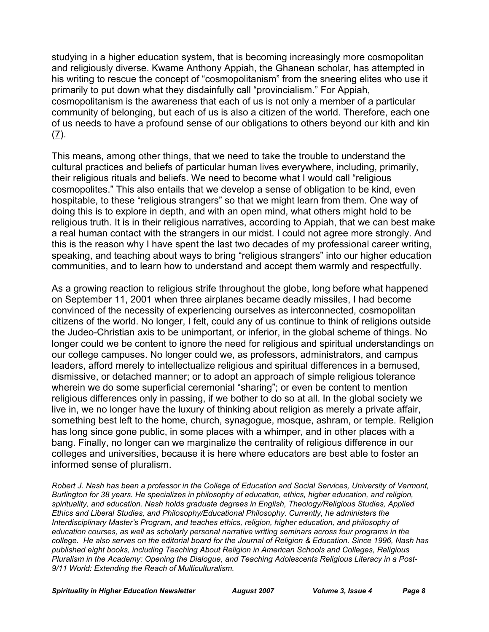studying in a higher education system, that is becoming increasingly more cosmopolitan and religiously diverse. Kwame Anthony Appiah, the Ghanean scholar, has attempted in his writing to rescue the concept of "cosmopolitanism" from the sneering elites who use it primarily to put down what they disdainfully call "provincialism." For Appiah, cosmopolitanism is the awareness that each of us is not only a member of a particular community of belonging, but each of us is also a citizen of the world. Therefore, each one of us needs to have a profound sense of our obligations to others beyond our kith and kin  $(\underline{7})$ .

This means, among other things, that we need to take the trouble to understand the cultural practices and beliefs of particular human lives everywhere, including, primarily, their religious rituals and beliefs. We need to become what I would call "religious cosmopolites." This also entails that we develop a sense of obligation to be kind, even hospitable, to these "religious strangers" so that we might learn from them. One way of doing this is to explore in depth, and with an open mind, what others might hold to be religious truth. It is in their religious narratives, according to Appiah, that we can best make a real human contact with the strangers in our midst. I could not agree more strongly. And this is the reason why I have spent the last two decades of my professional career writing, speaking, and teaching about ways to bring "religious strangers" into our higher education communities, and to learn how to understand and accept them warmly and respectfully.

As a growing reaction to religious strife throughout the globe, long before what happened on September 11, 2001 when three airplanes became deadly missiles, I had become convinced of the necessity of experiencing ourselves as interconnected, cosmopolitan citizens of the world. No longer, I felt, could any of us continue to think of religions outside the Judeo-Christian axis to be unimportant, or inferior, in the global scheme of things. No longer could we be content to ignore the need for religious and spiritual understandings on our college campuses. No longer could we, as professors, administrators, and campus leaders, afford merely to intellectualize religious and spiritual differences in a bemused, dismissive, or detached manner; or to adopt an approach of simple religious tolerance wherein we do some superficial ceremonial "sharing"; or even be content to mention religious differences only in passing, if we bother to do so at all. In the global society we live in, we no longer have the luxury of thinking about religion as merely a private affair, something best left to the home, church, synagogue, mosque, ashram, or temple. Religion has long since gone public, in some places with a whimper, and in other places with a bang. Finally, no longer can we marginalize the centrality of religious difference in our colleges and universities, because it is here where educators are best able to foster an informed sense of pluralism.

*Robert J. Nash has been a professor in the College of Education and Social Services, University of Vermont, Burlington for 38 years. He specializes in philosophy of education, ethics, higher education, and religion, spirituality, and education. Nash holds graduate degrees in English, Theology/Religious Studies, Applied Ethics and Liberal Studies, and Philosophy/Educational Philosophy. Currently, he administers the Interdisciplinary Master's Program, and teaches ethics, religion, higher education, and philosophy of education courses, as well as scholarly personal narrative writing seminars across four programs in the college. He also serves on the editorial board for the Journal of Religion & Education. Since 1996, Nash has published eight books, including Teaching About Religion in American Schools and Colleges, Religious Pluralism in the Academy: Opening the Dialogue, and Teaching Adolescents Religious Literacy in a Post-9/11 World: Extending the Reach of Multiculturalism.*